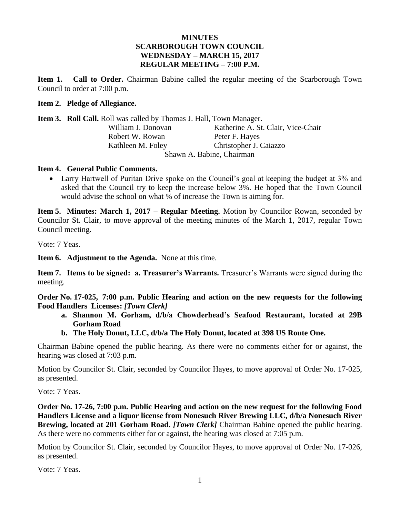## **MINUTES SCARBOROUGH TOWN COUNCIL WEDNESDAY – MARCH 15, 2017 REGULAR MEETING – 7:00 P.M.**

**Item 1. Call to Order.** Chairman Babine called the regular meeting of the Scarborough Town Council to order at 7:00 p.m.

#### **Item 2. Pledge of Allegiance.**

**Item 3. Roll Call.** Roll was called by Thomas J. Hall, Town Manager.

| William J. Donovan        | Katherine A. St. Clair, Vice-Chair |  |
|---------------------------|------------------------------------|--|
| Robert W. Rowan           | Peter F. Hayes                     |  |
| Kathleen M. Foley         | Christopher J. Caiazzo             |  |
| Shawn A. Babine, Chairman |                                    |  |

#### **Item 4. General Public Comments.**

• Larry Hartwell of Puritan Drive spoke on the Council's goal at keeping the budget at 3% and asked that the Council try to keep the increase below 3%. He hoped that the Town Council would advise the school on what % of increase the Town is aiming for.

**Item 5. Minutes: March 1, 2017 – Regular Meeting.** Motion by Councilor Rowan, seconded by Councilor St. Clair, to move approval of the meeting minutes of the March 1, 2017, regular Town Council meeting.

Vote: 7 Yeas.

**Item 6. Adjustment to the Agenda.** None at this time.

**Item 7. Items to be signed: a. Treasurer's Warrants.** Treasurer's Warrants were signed during the meeting.

**Order No. 17-025, 7:00 p.m. Public Hearing and action on the new requests for the following Food Handlers Licenses:** *[Town Clerk]*

- **a. Shannon M. Gorham, d/b/a Chowderhead's Seafood Restaurant, located at 29B Gorham Road**
- **b. The Holy Donut, LLC, d/b/a The Holy Donut, located at 398 US Route One.**

Chairman Babine opened the public hearing. As there were no comments either for or against, the hearing was closed at 7:03 p.m.

Motion by Councilor St. Clair, seconded by Councilor Hayes, to move approval of Order No. 17-025, as presented.

Vote: 7 Yeas.

**Order No. 17-26, 7:00 p.m. Public Hearing and action on the new request for the following Food Handlers License and a liquor license from Nonesuch River Brewing LLC, d/b/a Nonesuch River Brewing, located at 201 Gorham Road.** *[Town Clerk]* Chairman Babine opened the public hearing. As there were no comments either for or against, the hearing was closed at 7:05 p.m.

Motion by Councilor St. Clair, seconded by Councilor Hayes, to move approval of Order No. 17-026, as presented.

Vote: 7 Yeas.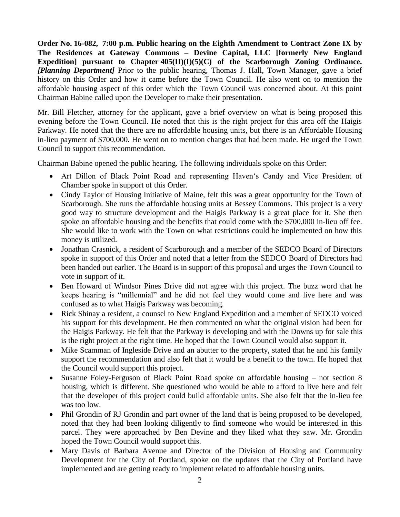**Order No. 16-082, 7:00 p.m. Public hearing on the Eighth Amendment to Contract Zone IX by The Residences at Gateway Commons – Devine Capital, LLC [formerly New England Expedition] pursuant to Chapter 405(II)(I)(5)(C) of the Scarborough Zoning Ordinance.**  *[Planning Department]* Prior to the public hearing, Thomas J. Hall, Town Manager, gave a brief history on this Order and how it came before the Town Council. He also went on to mention the affordable housing aspect of this order which the Town Council was concerned about. At this point Chairman Babine called upon the Developer to make their presentation.

Mr. Bill Fletcher, attorney for the applicant, gave a brief overview on what is being proposed this evening before the Town Council. He noted that this is the right project for this area off the Haigis Parkway. He noted that the there are no affordable housing units, but there is an Affordable Housing in-lieu payment of \$700,000. He went on to mention changes that had been made. He urged the Town Council to support this recommendation.

Chairman Babine opened the public hearing. The following individuals spoke on this Order:

- Art Dillon of Black Point Road and representing Haven's Candy and Vice President of Chamber spoke in support of this Order.
- Cindy Taylor of Housing Initiative of Maine, felt this was a great opportunity for the Town of Scarborough. She runs the affordable housing units at Bessey Commons. This project is a very good way to structure development and the Haigis Parkway is a great place for it. She then spoke on affordable housing and the benefits that could come with the \$700,000 in-lieu off fee. She would like to work with the Town on what restrictions could be implemented on how this money is utilized.
- Jonathan Crasnick, a resident of Scarborough and a member of the SEDCO Board of Directors spoke in support of this Order and noted that a letter from the SEDCO Board of Directors had been handed out earlier. The Board is in support of this proposal and urges the Town Council to vote in support of it.
- Ben Howard of Windsor Pines Drive did not agree with this project. The buzz word that he keeps hearing is "millennial" and he did not feel they would come and live here and was confused as to what Haigis Parkway was becoming.
- Rick Shinay a resident, a counsel to New England Expedition and a member of SEDCO voiced his support for this development. He then commented on what the original vision had been for the Haigis Parkway. He felt that the Parkway is developing and with the Downs up for sale this is the right project at the right time. He hoped that the Town Council would also support it.
- Mike Scamman of Ingleside Drive and an abutter to the property, stated that he and his family support the recommendation and also felt that it would be a benefit to the town. He hoped that the Council would support this project.
- Susanne Foley-Ferguson of Black Point Road spoke on affordable housing not section 8 housing, which is different. She questioned who would be able to afford to live here and felt that the developer of this project could build affordable units. She also felt that the in-lieu fee was too low.
- Phil Grondin of RJ Grondin and part owner of the land that is being proposed to be developed, noted that they had been looking diligently to find someone who would be interested in this parcel. They were approached by Ben Devine and they liked what they saw. Mr. Grondin hoped the Town Council would support this.
- Mary Davis of Barbara Avenue and Director of the Division of Housing and Community Development for the City of Portland, spoke on the updates that the City of Portland have implemented and are getting ready to implement related to affordable housing units.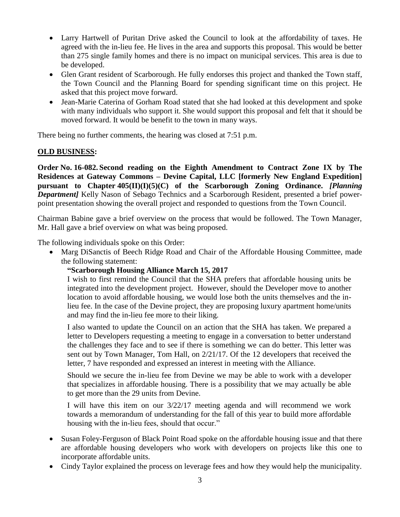- Larry Hartwell of Puritan Drive asked the Council to look at the affordability of taxes. He agreed with the in-lieu fee. He lives in the area and supports this proposal. This would be better than 275 single family homes and there is no impact on municipal services. This area is due to be developed.
- Glen Grant resident of Scarborough. He fully endorses this project and thanked the Town staff, the Town Council and the Planning Board for spending significant time on this project. He asked that this project move forward.
- Jean-Marie Caterina of Gorham Road stated that she had looked at this development and spoke with many individuals who support it. She would support this proposal and felt that it should be moved forward. It would be benefit to the town in many ways.

There being no further comments, the hearing was closed at 7:51 p.m.

# **OLD BUSINESS:**

**Order No. 16-082. Second reading on the Eighth Amendment to Contract Zone IX by The Residences at Gateway Commons – Devine Capital, LLC [formerly New England Expedition] pursuant to Chapter 405(II)(I)(5)(C) of the Scarborough Zoning Ordinance.** *[Planning Department]* Kelly Nason of Sebago Technics and a Scarborough Resident, presented a brief powerpoint presentation showing the overall project and responded to questions from the Town Council.

Chairman Babine gave a brief overview on the process that would be followed. The Town Manager, Mr. Hall gave a brief overview on what was being proposed.

The following individuals spoke on this Order:

• Marg DiSanctis of Beech Ridge Road and Chair of the Affordable Housing Committee, made the following statement:

# **"Scarborough Housing Alliance March 15, 2017**

I wish to first remind the Council that the SHA prefers that affordable housing units be integrated into the development project. However, should the Developer move to another location to avoid affordable housing, we would lose both the units themselves and the inlieu fee. In the case of the Devine project, they are proposing luxury apartment home/units and may find the in-lieu fee more to their liking.

I also wanted to update the Council on an action that the SHA has taken. We prepared a letter to Developers requesting a meeting to engage in a conversation to better understand the challenges they face and to see if there is something we can do better. This letter was sent out by Town Manager, Tom Hall, on 2/21/17. Of the 12 developers that received the letter, 7 have responded and expressed an interest in meeting with the Alliance.

Should we secure the in-lieu fee from Devine we may be able to work with a developer that specializes in affordable housing. There is a possibility that we may actually be able to get more than the 29 units from Devine.

I will have this item on our 3/22/17 meeting agenda and will recommend we work towards a memorandum of understanding for the fall of this year to build more affordable housing with the in-lieu fees, should that occur."

- Susan Foley-Ferguson of Black Point Road spoke on the affordable housing issue and that there are affordable housing developers who work with developers on projects like this one to incorporate affordable units.
- Cindy Taylor explained the process on leverage fees and how they would help the municipality.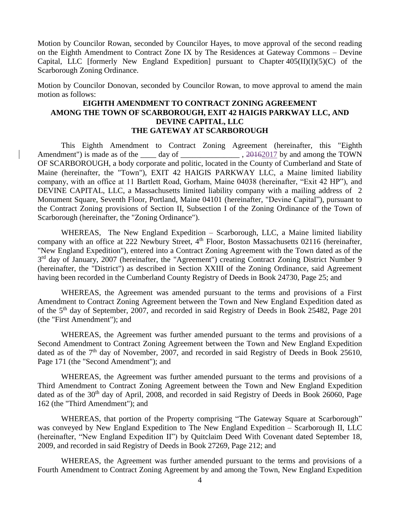Motion by Councilor Rowan, seconded by Councilor Hayes, to move approval of the second reading on the Eighth Amendment to Contract Zone IX by The Residences at Gateway Commons – Devine Capital, LLC [formerly New England Expedition] pursuant to Chapter  $405(II)(I)(5)(C)$  of the Scarborough Zoning Ordinance.

Motion by Councilor Donovan, seconded by Councilor Rowan, to move approval to amend the main motion as follows:

## **EIGHTH AMENDMENT TO CONTRACT ZONING AGREEMENT AMONG THE TOWN OF SCARBOROUGH, EXIT 42 HAIGIS PARKWAY LLC, AND DEVINE CAPITAL, LLC THE GATEWAY AT SCARBOROUGH**

This Eighth Amendment to Contract Zoning Agreement (hereinafter, this "Eighth Amendment") is made as of the day of  $\qquad \qquad$ , 20162017 by and among the TOWN OF SCARBOROUGH, a body corporate and politic, located in the County of Cumberland and State of Maine (hereinafter, the "Town"), EXIT 42 HAIGIS PARKWAY LLC, a Maine limited liability company, with an office at 11 Bartlett Road, Gorham, Maine 04038 (hereinafter, "Exit 42 HP"), and DEVINE CAPITAL, LLC, a Massachusetts limited liability company with a mailing address of 2 Monument Square, Seventh Floor, Portland, Maine 04101 (hereinafter, "Devine Capital"), pursuant to the Contract Zoning provisions of Section II, Subsection I of the Zoning Ordinance of the Town of Scarborough (hereinafter, the "Zoning Ordinance").

WHEREAS, The New England Expedition – Scarborough, LLC, a Maine limited liability company with an office at 222 Newbury Street, 4<sup>th</sup> Floor, Boston Massachusetts 02116 (hereinafter, "New England Expedition"), entered into a Contract Zoning Agreement with the Town dated as of the 3<sup>rd</sup> day of January, 2007 (hereinafter, the "Agreement") creating Contract Zoning District Number 9 (hereinafter, the "District") as described in Section XXIII of the Zoning Ordinance, said Agreement having been recorded in the Cumberland County Registry of Deeds in Book 24730, Page 25; and

WHEREAS, the Agreement was amended pursuant to the terms and provisions of a First Amendment to Contract Zoning Agreement between the Town and New England Expedition dated as of the 5<sup>th</sup> day of September, 2007, and recorded in said Registry of Deeds in Book 25482, Page 201 (the "First Amendment"); and

WHEREAS, the Agreement was further amended pursuant to the terms and provisions of a Second Amendment to Contract Zoning Agreement between the Town and New England Expedition dated as of the 7<sup>th</sup> day of November, 2007, and recorded in said Registry of Deeds in Book 25610, Page 171 (the "Second Amendment"); and

WHEREAS, the Agreement was further amended pursuant to the terms and provisions of a Third Amendment to Contract Zoning Agreement between the Town and New England Expedition dated as of the 30<sup>th</sup> day of April, 2008, and recorded in said Registry of Deeds in Book 26060, Page 162 (the "Third Amendment"); and

WHEREAS, that portion of the Property comprising "The Gateway Square at Scarborough" was conveyed by New England Expedition to The New England Expedition – Scarborough II, LLC (hereinafter, "New England Expedition II") by Quitclaim Deed With Covenant dated September 18, 2009, and recorded in said Registry of Deeds in Book 27269, Page 212; and

WHEREAS, the Agreement was further amended pursuant to the terms and provisions of a Fourth Amendment to Contract Zoning Agreement by and among the Town, New England Expedition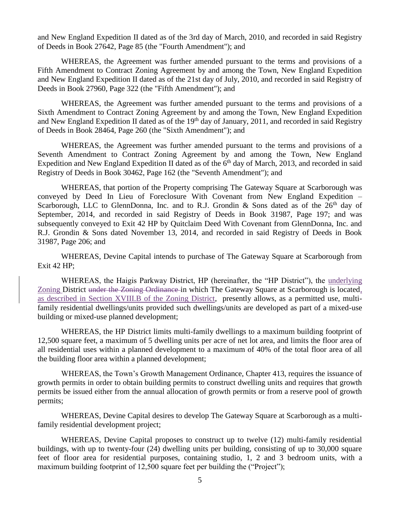and New England Expedition II dated as of the 3rd day of March, 2010, and recorded in said Registry of Deeds in Book 27642, Page 85 (the "Fourth Amendment"); and

WHEREAS, the Agreement was further amended pursuant to the terms and provisions of a Fifth Amendment to Contract Zoning Agreement by and among the Town, New England Expedition and New England Expedition II dated as of the 21st day of July, 2010, and recorded in said Registry of Deeds in Book 27960, Page 322 (the "Fifth Amendment"); and

WHEREAS, the Agreement was further amended pursuant to the terms and provisions of a Sixth Amendment to Contract Zoning Agreement by and among the Town, New England Expedition and New England Expedition II dated as of the  $19<sup>th</sup>$  day of January, 2011, and recorded in said Registry of Deeds in Book 28464, Page 260 (the "Sixth Amendment"); and

WHEREAS, the Agreement was further amended pursuant to the terms and provisions of a Seventh Amendment to Contract Zoning Agreement by and among the Town, New England Expedition and New England Expedition II dated as of the 6<sup>th</sup> day of March, 2013, and recorded in said Registry of Deeds in Book 30462, Page 162 (the "Seventh Amendment"); and

WHEREAS, that portion of the Property comprising The Gateway Square at Scarborough was conveyed by Deed In Lieu of Foreclosure With Covenant from New England Expedition – Scarborough, LLC to GlennDonna, Inc. and to R.J. Grondin & Sons dated as of the  $26<sup>th</sup>$  day of September, 2014, and recorded in said Registry of Deeds in Book 31987, Page 197; and was subsequently conveyed to Exit 42 HP by Quitclaim Deed With Covenant from GlennDonna, Inc. and R.J. Grondin & Sons dated November 13, 2014, and recorded in said Registry of Deeds in Book 31987, Page 206; and

WHEREAS, Devine Capital intends to purchase of The Gateway Square at Scarborough from Exit 42 HP;

WHEREAS, the Haigis Parkway District, HP (hereinafter, the "HP District"), the underlying Zoning District under the Zoning Ordinance in which The Gateway Square at Scarborough is located, as described in Section XVIII.B of the Zoning District, presently allows, as a permitted use, multifamily residential dwellings/units provided such dwellings/units are developed as part of a mixed-use building or mixed-use planned development;

WHEREAS, the HP District limits multi-family dwellings to a maximum building footprint of 12,500 square feet, a maximum of 5 dwelling units per acre of net lot area, and limits the floor area of all residential uses within a planned development to a maximum of 40% of the total floor area of all the building floor area within a planned development;

WHEREAS, the Town's Growth Management Ordinance, Chapter 413, requires the issuance of growth permits in order to obtain building permits to construct dwelling units and requires that growth permits be issued either from the annual allocation of growth permits or from a reserve pool of growth permits;

WHEREAS, Devine Capital desires to develop The Gateway Square at Scarborough as a multifamily residential development project;

WHEREAS, Devine Capital proposes to construct up to twelve (12) multi-family residential buildings, with up to twenty-four (24) dwelling units per building, consisting of up to 30,000 square feet of floor area for residential purposes, containing studio, 1, 2 and 3 bedroom units, with a maximum building footprint of 12,500 square feet per building the ("Project");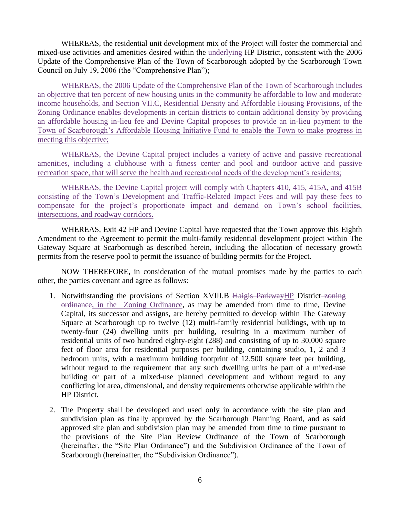WHEREAS, the residential unit development mix of the Project will foster the commercial and mixed-use activities and amenities desired within the underlying HP District, consistent with the 2006 Update of the Comprehensive Plan of the Town of Scarborough adopted by the Scarborough Town Council on July 19, 2006 (the "Comprehensive Plan");

WHEREAS, the 2006 Update of the Comprehensive Plan of the Town of Scarborough includes an objective that ten percent of new housing units in the community be affordable to low and moderate income households, and Section VII.C, Residential Density and Affordable Housing Provisions, of the Zoning Ordinance enables developments in certain districts to contain additional density by providing an affordable housing in-lieu fee and Devine Capital proposes to provide an in-lieu payment to the Town of Scarborough's Affordable Housing Initiative Fund to enable the Town to make progress in meeting this objective;

WHEREAS, the Devine Capital project includes a variety of active and passive recreational amenities, including a clubhouse with a fitness center and pool and outdoor active and passive recreation space, that will serve the health and recreational needs of the development's residents;

WHEREAS, the Devine Capital project will comply with Chapters 410, 415, 415A, and 415B consisting of the Town's Development and Traffic-Related Impact Fees and will pay these fees to compensate for the project's proportionate impact and demand on Town's school facilities, intersections, and roadway corridors.

WHEREAS, Exit 42 HP and Devine Capital have requested that the Town approve this Eighth Amendment to the Agreement to permit the multi-family residential development project within The Gateway Square at Scarborough as described herein, including the allocation of necessary growth permits from the reserve pool to permit the issuance of building permits for the Project.

NOW THEREFORE, in consideration of the mutual promises made by the parties to each other, the parties covenant and agree as follows:

- 1. Notwithstanding the provisions of Section XVIII.B Haigis ParkwayHP District zoning ordinance, in the Zoning Ordinance, as may be amended from time to time, Devine Capital, its successor and assigns, are hereby permitted to develop within The Gateway Square at Scarborough up to twelve (12) multi-family residential buildings, with up to twenty-four (24) dwelling units per building, resulting in a maximum number of residential units of two hundred eighty-eight (288) and consisting of up to 30,000 square feet of floor area for residential purposes per building, containing studio, 1, 2 and 3 bedroom units, with a maximum building footprint of 12,500 square feet per building, without regard to the requirement that any such dwelling units be part of a mixed-use building or part of a mixed-use planned development and without regard to any conflicting lot area, dimensional, and density requirements otherwise applicable within the HP District.
- 2. The Property shall be developed and used only in accordance with the site plan and subdivision plan as finally approved by the Scarborough Planning Board, and as said approved site plan and subdivision plan may be amended from time to time pursuant to the provisions of the Site Plan Review Ordinance of the Town of Scarborough (hereinafter, the "Site Plan Ordinance") and the Subdivision Ordinance of the Town of Scarborough (hereinafter, the "Subdivision Ordinance").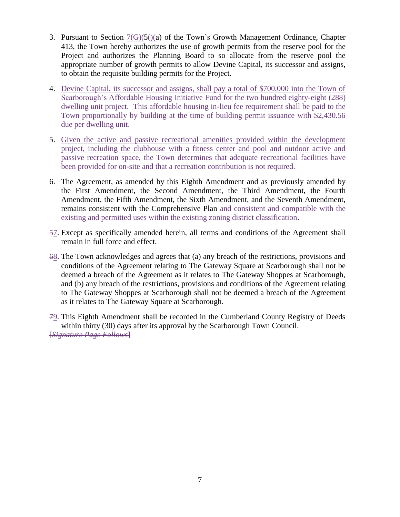- 3. Pursuant to Section  $7(G)(5)(a)$  of the Town's Growth Management Ordinance, Chapter 413, the Town hereby authorizes the use of growth permits from the reserve pool for the Project and authorizes the Planning Board to so allocate from the reserve pool the appropriate number of growth permits to allow Devine Capital, its successor and assigns, to obtain the requisite building permits for the Project.
- 4. Devine Capital, its successor and assigns, shall pay a total of \$700,000 into the Town of Scarborough's Affordable Housing Initiative Fund for the two hundred eighty-eight (288) dwelling unit project. This affordable housing in-lieu fee requirement shall be paid to the Town proportionally by building at the time of building permit issuance with \$2,430.56 due per dwelling unit.
- 5. Given the active and passive recreational amenities provided within the development project, including the clubhouse with a fitness center and pool and outdoor active and passive recreation space, the Town determines that adequate recreational facilities have been provided for on-site and that a recreation contribution is not required.
- 6. The Agreement, as amended by this Eighth Amendment and as previously amended by the First Amendment, the Second Amendment, the Third Amendment, the Fourth Amendment, the Fifth Amendment, the Sixth Amendment, and the Seventh Amendment, remains consistent with the Comprehensive Plan and consistent and compatible with the existing and permitted uses within the existing zoning district classification.
- 57. Except as specifically amended herein, all terms and conditions of the Agreement shall remain in full force and effect.
- 68. The Town acknowledges and agrees that (a) any breach of the restrictions, provisions and conditions of the Agreement relating to The Gateway Square at Scarborough shall not be deemed a breach of the Agreement as it relates to The Gateway Shoppes at Scarborough, and (b) any breach of the restrictions, provisions and conditions of the Agreement relating to The Gateway Shoppes at Scarborough shall not be deemed a breach of the Agreement as it relates to The Gateway Square at Scarborough.
- 79. This Eighth Amendment shall be recorded in the Cumberland County Registry of Deeds within thirty (30) days after its approval by the Scarborough Town Council. [*Signature Page Follows*]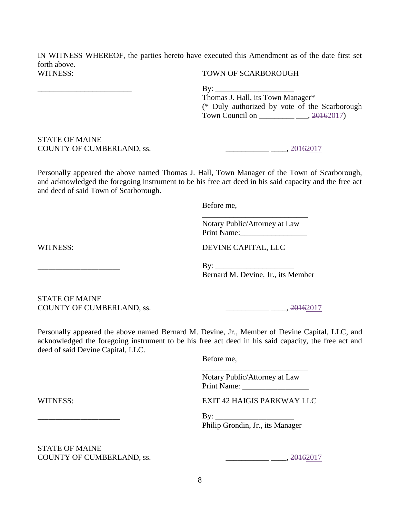IN WITNESS WHEREOF, the parties hereto have executed this Amendment as of the date first set forth above. WITNESS: TOWN OF SCARBOROUGH

\_\_\_\_\_\_\_\_\_\_\_\_\_\_\_\_\_\_\_\_\_\_\_\_ By: \_\_\_\_\_\_\_\_\_\_\_\_\_\_\_\_\_\_\_\_

Thomas J. Hall, its Town Manager\* (\* Duly authorized by vote of the Scarborough Town Council on \_\_\_\_\_\_\_\_\_\_\_\_\_\_\_\_\_\_\_\_\_, 20162017)

## STATE OF MAINE COUNTY OF CUMBERLAND, ss. \_\_\_\_\_\_\_\_\_\_\_ \_\_\_\_, 20162017

Personally appeared the above named Thomas J. Hall, Town Manager of the Town of Scarborough, and acknowledged the foregoing instrument to be his free act deed in his said capacity and the free act and deed of said Town of Scarborough.

Before me,

Notary Public/Attorney at Law Print Name:\_\_\_\_\_\_\_\_\_\_\_\_\_\_\_\_\_

\_\_\_\_\_\_\_\_\_\_\_\_\_\_\_\_\_\_\_\_\_\_\_\_\_\_\_

WITNESS: DEVINE CAPITAL, LLC

 $\rm\,By:\,$ Bernard M. Devine, Jr., its Member

STATE OF MAINE COUNTY OF CUMBERLAND, ss. \_\_\_\_\_\_\_\_\_\_\_ \_\_\_\_, 20162017

Personally appeared the above named Bernard M. Devine, Jr., Member of Devine Capital, LLC, and acknowledged the foregoing instrument to be his free act deed in his said capacity, the free act and deed of said Devine Capital, LLC.

Before me,

Notary Public/Attorney at Law Print Name: \_\_\_\_\_\_\_\_\_\_\_\_\_\_\_\_\_

\_\_\_\_\_\_\_\_\_\_\_\_\_\_\_\_\_\_\_\_\_\_\_\_\_\_\_

WITNESS: EXIT 42 HAIGIS PARKWAY LLC

 $\mathbf{By:}$ Philip Grondin, Jr., its Manager

STATE OF MAINE COUNTY OF CUMBERLAND, ss. \_\_\_\_\_\_\_\_\_\_\_ \_\_\_\_, 20162017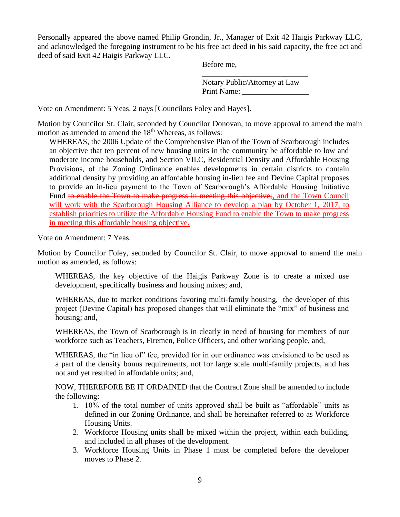Personally appeared the above named Philip Grondin, Jr., Manager of Exit 42 Haigis Parkway LLC, and acknowledged the foregoing instrument to be his free act deed in his said capacity, the free act and deed of said Exit 42 Haigis Parkway LLC.

Before me,

Notary Public/Attorney at Law Print Name:

\_\_\_\_\_\_\_\_\_\_\_\_\_\_\_\_\_\_\_\_\_\_\_\_\_\_\_

Vote on Amendment: 5 Yeas. 2 nays [Councilors Foley and Hayes].

Motion by Councilor St. Clair, seconded by Councilor Donovan, to move approval to amend the main motion as amended to amend the 18<sup>th</sup> Whereas, as follows:

WHEREAS, the 2006 Update of the Comprehensive Plan of the Town of Scarborough includes an objective that ten percent of new housing units in the community be affordable to low and moderate income households, and Section VII.C, Residential Density and Affordable Housing Provisions, of the Zoning Ordinance enables developments in certain districts to contain additional density by providing an affordable housing in-lieu fee and Devine Capital proposes to provide an in-lieu payment to the Town of Scarborough's Affordable Housing Initiative Fund to enable the Town to make progress in meeting this objective;, and the Town Council will work with the Scarborough Housing Alliance to develop a plan by October 1, 2017, to establish priorities to utilize the Affordable Housing Fund to enable the Town to make progress in meeting this affordable housing objective.

Vote on Amendment: 7 Yeas.

Motion by Councilor Foley, seconded by Councilor St. Clair, to move approval to amend the main motion as amended, as follows:

WHEREAS, the key objective of the Haigis Parkway Zone is to create a mixed use development, specifically business and housing mixes; and,

WHEREAS, due to market conditions favoring multi-family housing, the developer of this project (Devine Capital) has proposed changes that will eliminate the "mix" of business and housing; and,

WHEREAS, the Town of Scarborough is in clearly in need of housing for members of our workforce such as Teachers, Firemen, Police Officers, and other working people, and,

WHEREAS, the "in lieu of" fee, provided for in our ordinance was envisioned to be used as a part of the density bonus requirements, not for large scale multi-family projects, and has not and yet resulted in affordable units; and,

NOW, THEREFORE BE IT ORDAINED that the Contract Zone shall be amended to include the following:

- 1. 10% of the total number of units approved shall be built as "affordable" units as defined in our Zoning Ordinance, and shall be hereinafter referred to as Workforce Housing Units.
- 2. Workforce Housing units shall be mixed within the project, within each building, and included in all phases of the development.
- 3. Workforce Housing Units in Phase 1 must be completed before the developer moves to Phase 2.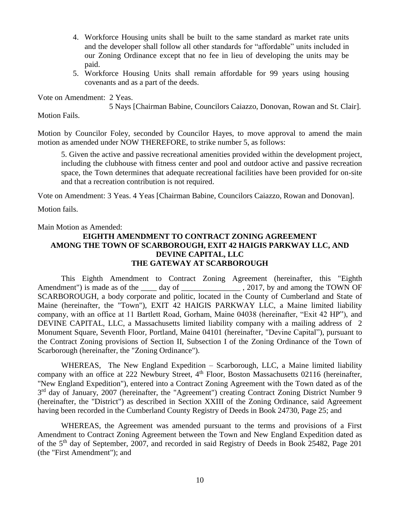- 4. Workforce Housing units shall be built to the same standard as market rate units and the developer shall follow all other standards for "affordable" units included in our Zoning Ordinance except that no fee in lieu of developing the units may be paid.
- 5. Workforce Housing Units shall remain affordable for 99 years using housing covenants and as a part of the deeds.

Vote on Amendment: 2 Yeas.

5 Nays [Chairman Babine, Councilors Caiazzo, Donovan, Rowan and St. Clair].

Motion Fails.

Motion by Councilor Foley, seconded by Councilor Hayes, to move approval to amend the main motion as amended under NOW THEREFORE, to strike number 5, as follows:

5. Given the active and passive recreational amenities provided within the development project, including the clubhouse with fitness center and pool and outdoor active and passive recreation space, the Town determines that adequate recreational facilities have been provided for on-site and that a recreation contribution is not required.

Vote on Amendment: 3 Yeas. 4 Yeas [Chairman Babine, Councilors Caiazzo, Rowan and Donovan].

Motion fails.

### Main Motion as Amended:

## **EIGHTH AMENDMENT TO CONTRACT ZONING AGREEMENT AMONG THE TOWN OF SCARBOROUGH, EXIT 42 HAIGIS PARKWAY LLC, AND DEVINE CAPITAL, LLC THE GATEWAY AT SCARBOROUGH**

This Eighth Amendment to Contract Zoning Agreement (hereinafter, this "Eighth Amendment") is made as of the \_\_\_\_ day of \_\_\_\_\_\_\_\_\_\_\_\_\_\_\_ , 2017, by and among the TOWN OF SCARBOROUGH, a body corporate and politic, located in the County of Cumberland and State of Maine (hereinafter, the "Town"), EXIT 42 HAIGIS PARKWAY LLC, a Maine limited liability company, with an office at 11 Bartlett Road, Gorham, Maine 04038 (hereinafter, "Exit 42 HP"), and DEVINE CAPITAL, LLC, a Massachusetts limited liability company with a mailing address of 2 Monument Square, Seventh Floor, Portland, Maine 04101 (hereinafter, "Devine Capital"), pursuant to the Contract Zoning provisions of Section II, Subsection I of the Zoning Ordinance of the Town of Scarborough (hereinafter, the "Zoning Ordinance").

WHEREAS, The New England Expedition – Scarborough, LLC, a Maine limited liability company with an office at 222 Newbury Street, 4<sup>th</sup> Floor, Boston Massachusetts 02116 (hereinafter, "New England Expedition"), entered into a Contract Zoning Agreement with the Town dated as of the 3<sup>rd</sup> day of January, 2007 (hereinafter, the "Agreement") creating Contract Zoning District Number 9 (hereinafter, the "District") as described in Section XXIII of the Zoning Ordinance, said Agreement having been recorded in the Cumberland County Registry of Deeds in Book 24730, Page 25; and

WHEREAS, the Agreement was amended pursuant to the terms and provisions of a First Amendment to Contract Zoning Agreement between the Town and New England Expedition dated as of the 5th day of September, 2007, and recorded in said Registry of Deeds in Book 25482, Page 201 (the "First Amendment"); and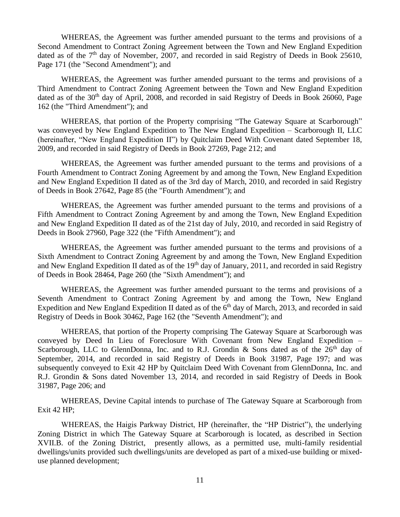WHEREAS, the Agreement was further amended pursuant to the terms and provisions of a Second Amendment to Contract Zoning Agreement between the Town and New England Expedition dated as of the 7<sup>th</sup> day of November, 2007, and recorded in said Registry of Deeds in Book 25610, Page 171 (the "Second Amendment"); and

WHEREAS, the Agreement was further amended pursuant to the terms and provisions of a Third Amendment to Contract Zoning Agreement between the Town and New England Expedition dated as of the 30<sup>th</sup> day of April, 2008, and recorded in said Registry of Deeds in Book 26060, Page 162 (the "Third Amendment"); and

WHEREAS, that portion of the Property comprising "The Gateway Square at Scarborough" was conveyed by New England Expedition to The New England Expedition – Scarborough II, LLC (hereinafter, "New England Expedition II") by Quitclaim Deed With Covenant dated September 18, 2009, and recorded in said Registry of Deeds in Book 27269, Page 212; and

WHEREAS, the Agreement was further amended pursuant to the terms and provisions of a Fourth Amendment to Contract Zoning Agreement by and among the Town, New England Expedition and New England Expedition II dated as of the 3rd day of March, 2010, and recorded in said Registry of Deeds in Book 27642, Page 85 (the "Fourth Amendment"); and

WHEREAS, the Agreement was further amended pursuant to the terms and provisions of a Fifth Amendment to Contract Zoning Agreement by and among the Town, New England Expedition and New England Expedition II dated as of the 21st day of July, 2010, and recorded in said Registry of Deeds in Book 27960, Page 322 (the "Fifth Amendment"); and

WHEREAS, the Agreement was further amended pursuant to the terms and provisions of a Sixth Amendment to Contract Zoning Agreement by and among the Town, New England Expedition and New England Expedition II dated as of the 19<sup>th</sup> day of January, 2011, and recorded in said Registry of Deeds in Book 28464, Page 260 (the "Sixth Amendment"); and

WHEREAS, the Agreement was further amended pursuant to the terms and provisions of a Seventh Amendment to Contract Zoning Agreement by and among the Town, New England Expedition and New England Expedition II dated as of the 6<sup>th</sup> day of March, 2013, and recorded in said Registry of Deeds in Book 30462, Page 162 (the "Seventh Amendment"); and

WHEREAS, that portion of the Property comprising The Gateway Square at Scarborough was conveyed by Deed In Lieu of Foreclosure With Covenant from New England Expedition – Scarborough, LLC to GlennDonna, Inc. and to R.J. Grondin & Sons dated as of the  $26<sup>th</sup>$  day of September, 2014, and recorded in said Registry of Deeds in Book 31987, Page 197; and was subsequently conveyed to Exit 42 HP by Quitclaim Deed With Covenant from GlennDonna, Inc. and R.J. Grondin & Sons dated November 13, 2014, and recorded in said Registry of Deeds in Book 31987, Page 206; and

WHEREAS, Devine Capital intends to purchase of The Gateway Square at Scarborough from Exit 42 HP;

WHEREAS, the Haigis Parkway District, HP (hereinafter, the "HP District"), the underlying Zoning District in which The Gateway Square at Scarborough is located, as described in Section XVII.B. of the Zoning District, presently allows, as a permitted use, multi-family residential dwellings/units provided such dwellings/units are developed as part of a mixed-use building or mixeduse planned development;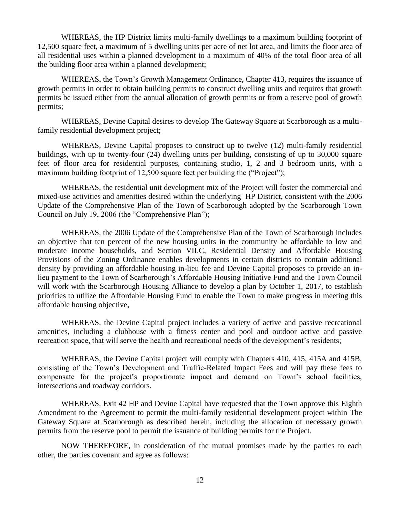WHEREAS, the HP District limits multi-family dwellings to a maximum building footprint of 12,500 square feet, a maximum of 5 dwelling units per acre of net lot area, and limits the floor area of all residential uses within a planned development to a maximum of 40% of the total floor area of all the building floor area within a planned development;

WHEREAS, the Town's Growth Management Ordinance, Chapter 413, requires the issuance of growth permits in order to obtain building permits to construct dwelling units and requires that growth permits be issued either from the annual allocation of growth permits or from a reserve pool of growth permits;

WHEREAS, Devine Capital desires to develop The Gateway Square at Scarborough as a multifamily residential development project;

WHEREAS, Devine Capital proposes to construct up to twelve (12) multi-family residential buildings, with up to twenty-four (24) dwelling units per building, consisting of up to 30,000 square feet of floor area for residential purposes, containing studio, 1, 2 and 3 bedroom units, with a maximum building footprint of 12,500 square feet per building the ("Project");

WHEREAS, the residential unit development mix of the Project will foster the commercial and mixed-use activities and amenities desired within the underlying HP District, consistent with the 2006 Update of the Comprehensive Plan of the Town of Scarborough adopted by the Scarborough Town Council on July 19, 2006 (the "Comprehensive Plan");

WHEREAS, the 2006 Update of the Comprehensive Plan of the Town of Scarborough includes an objective that ten percent of the new housing units in the community be affordable to low and moderate income households, and Section VII.C, Residential Density and Affordable Housing Provisions of the Zoning Ordinance enables developments in certain districts to contain additional density by providing an affordable housing in-lieu fee and Devine Capital proposes to provide an inlieu payment to the Town of Scarborough's Affordable Housing Initiative Fund and the Town Council will work with the Scarborough Housing Alliance to develop a plan by October 1, 2017, to establish priorities to utilize the Affordable Housing Fund to enable the Town to make progress in meeting this affordable housing objective,

WHEREAS, the Devine Capital project includes a variety of active and passive recreational amenities, including a clubhouse with a fitness center and pool and outdoor active and passive recreation space, that will serve the health and recreational needs of the development's residents;

WHEREAS, the Devine Capital project will comply with Chapters 410, 415, 415A and 415B, consisting of the Town's Development and Traffic-Related Impact Fees and will pay these fees to compensate for the project's proportionate impact and demand on Town's school facilities, intersections and roadway corridors.

WHEREAS, Exit 42 HP and Devine Capital have requested that the Town approve this Eighth Amendment to the Agreement to permit the multi-family residential development project within The Gateway Square at Scarborough as described herein, including the allocation of necessary growth permits from the reserve pool to permit the issuance of building permits for the Project.

NOW THEREFORE, in consideration of the mutual promises made by the parties to each other, the parties covenant and agree as follows: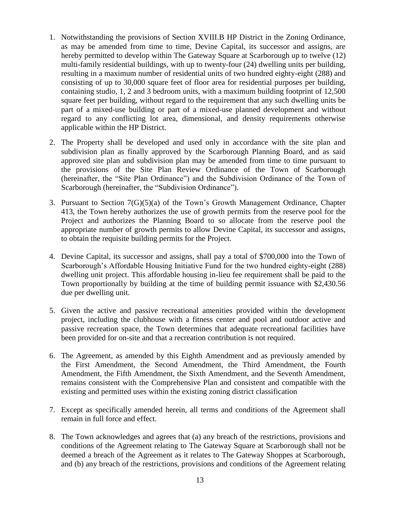- 1. Notwithstanding the provisions of Section XVIII.B HP District in the Zoning Ordinance, as may be amended from time to time, Devine Capital, its successor and assigns, are hereby permitted to develop within The Gateway Square at Scarborough up to twelve (12) multi-family residential buildings, with up to twenty-four (24) dwelling units per building, resulting in a maximum number of residential units of two hundred eighty-eight (288) and consisting of up to 30,000 square feet of floor area for residential purposes per building, containing studio, 1, 2 and 3 bedroom units, with a maximum building footprint of 12,500 square feet per building, without regard to the requirement that any such dwelling units be part of a mixed-use building or part of a mixed-use planned development and without regard to any conflicting lot area, dimensional, and density requirements otherwise applicable within the HP District.
- 2. The Property shall be developed and used only in accordance with the site plan and subdivision plan as finally approved by the Scarborough Planning Board, and as said approved site plan and subdivision plan may be amended from time to time pursuant to the provisions of the Site Plan Review Ordinance of the Town of Scarborough (hereinafter, the "Site Plan Ordinance") and the Subdivision Ordinance of the Town of Scarborough (hereinafter, the "Subdivision Ordinance").
- 3. Pursuant to Section  $7(G)(5)(a)$  of the Town's Growth Management Ordinance, Chapter 413, the Town hereby authorizes the use of growth permits from the reserve pool for the Project and authorizes the Planning Board to so allocate from the reserve pool the appropriate number of growth permits to allow Devine Capital, its successor and assigns, to obtain the requisite building permits for the Project.
- 4. Devine Capital, its successor and assigns, shall pay a total of \$700,000 into the Town of Scarborough's Affordable Housing Initiative Fund for the two hundred eighty-eight (288) dwelling unit project. This affordable housing in-lieu fee requirement shall be paid to the Town proportionally by building at the time of building permit issuance with \$2,430.56 due per dwelling unit.
- 5. Given the active and passive recreational amenities provided within the development project, including the clubhouse with a fitness center and pool and outdoor active and passive recreation space, the Town determines that adequate recreational facilities have been provided for on-site and that a recreation contribution is not required.
- 6. The Agreement, as amended by this Eighth Amendment and as previously amended by the First Amendment, the Second Amendment, the Third Amendment, the Fourth Amendment, the Fifth Amendment, the Sixth Amendment, and the Seventh Amendment, remains consistent with the Comprehensive Plan and consistent and compatible with the existing and permitted uses within the existing zoning district classification
- 7. Except as specifically amended herein, all terms and conditions of the Agreement shall remain in full force and effect.
- 8. The Town acknowledges and agrees that (a) any breach of the restrictions, provisions and conditions of the Agreement relating to The Gateway Square at Scarborough shall not be deemed a breach of the Agreement as it relates to The Gateway Shoppes at Scarborough, and (b) any breach of the restrictions, provisions and conditions of the Agreement relating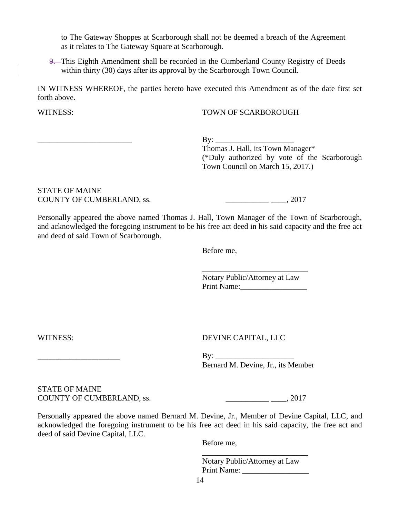to The Gateway Shoppes at Scarborough shall not be deemed a breach of the Agreement as it relates to The Gateway Square at Scarborough.

9. This Eighth Amendment shall be recorded in the Cumberland County Registry of Deeds within thirty (30) days after its approval by the Scarborough Town Council.

IN WITNESS WHEREOF, the parties hereto have executed this Amendment as of the date first set forth above.

#### WITNESS: TOWN OF SCARBOROUGH

\_\_\_\_\_\_\_\_\_\_\_\_\_\_\_\_\_\_\_\_\_\_\_\_ By: \_\_\_\_\_\_\_\_\_\_\_\_\_\_\_\_\_\_\_\_

Thomas J. Hall, its Town Manager\* (\*Duly authorized by vote of the Scarborough Town Council on March 15, 2017.)

STATE OF MAINE COUNTY OF CUMBERLAND, ss.  $\qquad \qquad \qquad 2017$ 

Personally appeared the above named Thomas J. Hall, Town Manager of the Town of Scarborough, and acknowledged the foregoing instrument to be his free act deed in his said capacity and the free act and deed of said Town of Scarborough.

Before me,

Notary Public/Attorney at Law Print Name:

\_\_\_\_\_\_\_\_\_\_\_\_\_\_\_\_\_\_\_\_\_\_\_\_\_\_\_

WITNESS: DEVINE CAPITAL, LLC

\_\_\_\_\_\_\_\_\_\_\_\_\_\_\_\_\_\_\_\_\_\_\_ By: \_\_\_\_\_\_\_\_\_\_\_\_\_\_\_\_\_\_\_\_ Bernard M. Devine, Jr., its Member

STATE OF MAINE COUNTY OF CUMBERLAND, ss.  $2017$ 

Personally appeared the above named Bernard M. Devine, Jr., Member of Devine Capital, LLC, and acknowledged the foregoing instrument to be his free act deed in his said capacity, the free act and deed of said Devine Capital, LLC.

Before me,

Notary Public/Attorney at Law Print Name:

\_\_\_\_\_\_\_\_\_\_\_\_\_\_\_\_\_\_\_\_\_\_\_\_\_\_\_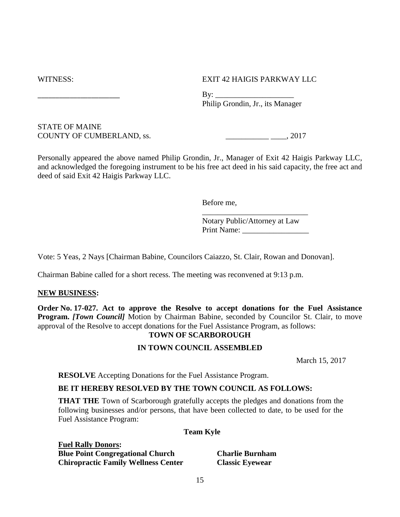WITNESS: EXIT 42 HAIGIS PARKWAY LLC

\_\_\_\_\_\_\_\_\_\_\_\_\_\_\_\_\_\_\_\_\_\_\_ By: \_\_\_\_\_\_\_\_\_\_\_\_\_\_\_\_\_\_\_\_ Philip Grondin, Jr., its Manager

STATE OF MAINE COUNTY OF CUMBERLAND, ss. \_\_\_\_\_\_\_\_\_\_\_ \_\_\_\_, 2017

Personally appeared the above named Philip Grondin, Jr., Manager of Exit 42 Haigis Parkway LLC, and acknowledged the foregoing instrument to be his free act deed in his said capacity, the free act and deed of said Exit 42 Haigis Parkway LLC.

Before me,

Notary Public/Attorney at Law Print Name: \_\_\_\_\_\_\_\_\_\_\_\_\_\_\_\_\_

\_\_\_\_\_\_\_\_\_\_\_\_\_\_\_\_\_\_\_\_\_\_\_\_\_\_\_

Vote: 5 Yeas, 2 Nays [Chairman Babine, Councilors Caiazzo, St. Clair, Rowan and Donovan].

Chairman Babine called for a short recess. The meeting was reconvened at 9:13 p.m.

### **NEW BUSINESS:**

**Order No. 17-027. Act to approve the Resolve to accept donations for the Fuel Assistance Program.** *[Town Council]* Motion by Chairman Babine, seconded by Councilor St. Clair, to move approval of the Resolve to accept donations for the Fuel Assistance Program, as follows:

## **TOWN OF SCARBOROUGH**

# **IN TOWN COUNCIL ASSEMBLED**

March 15, 2017

**RESOLVE** Accepting Donations for the Fuel Assistance Program.

# **BE IT HEREBY RESOLVED BY THE TOWN COUNCIL AS FOLLOWS:**

**THAT THE** Town of Scarborough gratefully accepts the pledges and donations from the following businesses and/or persons, that have been collected to date, to be used for the Fuel Assistance Program:

### **Team Kyle**

**Fuel Rally Donors: Blue Point Congregational Church Charlie Burnham Chiropractic Family Wellness Center Classic Eyewear**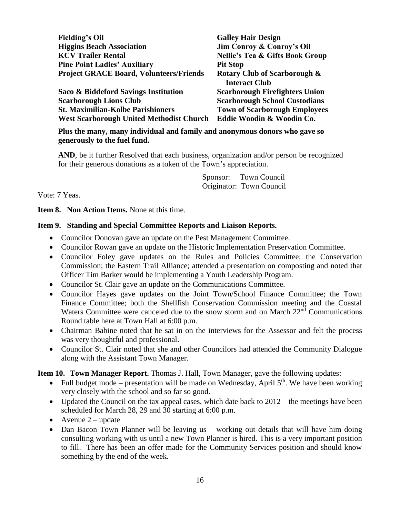| <b>Fielding's Oil</b>                           | <b>Galley Hair Design</b>                  |
|-------------------------------------------------|--------------------------------------------|
| <b>Higgins Beach Association</b>                | <b>Jim Conroy &amp; Conroy's Oil</b>       |
| <b>KCV Trailer Rental</b>                       | <b>Nellie's Tea &amp; Gifts Book Group</b> |
| <b>Pine Point Ladies' Auxiliary</b>             | <b>Pit Stop</b>                            |
| <b>Project GRACE Board, Volunteers/Friends</b>  | <b>Rotary Club of Scarborough &amp;</b>    |
|                                                 | <b>Interact Club</b>                       |
| Saco & Biddeford Savings Institution            | <b>Scarborough Firefighters Union</b>      |
| <b>Scarborough Lions Club</b>                   | <b>Scarborough School Custodians</b>       |
| <b>St. Maximilian-Kolbe Parishioners</b>        | <b>Town of Scarborough Employees</b>       |
| <b>West Scarborough United Methodist Church</b> | Eddie Woodin & Woodin Co.                  |

**Plus the many, many individual and family and anonymous donors who gave so generously to the fuel fund.**

**AND**, be it further Resolved that each business, organization and/or person be recognized for their generous donations as a token of the Town's appreciation.

> Sponsor: Town Council Originator: Town Council

Vote: 7 Yeas.

**Item 8. Non Action Items.** None at this time.

#### **Item 9. Standing and Special Committee Reports and Liaison Reports.**

- Councilor Donovan gave an update on the Pest Management Committee.
- Councilor Rowan gave an update on the Historic Implementation Preservation Committee.
- Councilor Foley gave updates on the Rules and Policies Committee; the Conservation Commission; the Eastern Trail Alliance; attended a presentation on composting and noted that Officer Tim Barker would be implementing a Youth Leadership Program.
- Councilor St. Clair gave an update on the Communications Committee.
- Councilor Hayes gave updates on the Joint Town/School Finance Committee; the Town Finance Committee; both the Shellfish Conservation Commission meeting and the Coastal Waters Committee were canceled due to the snow storm and on March  $22<sup>nd</sup>$  Communications Round table here at Town Hall at 6:00 p.m.
- Chairman Babine noted that he sat in on the interviews for the Assessor and felt the process was very thoughtful and professional.
- Councilor St. Clair noted that she and other Councilors had attended the Community Dialogue along with the Assistant Town Manager.

**Item 10. Town Manager Report.** Thomas J. Hall, Town Manager, gave the following updates:

- Full budget mode presentation will be made on Wednesday, April  $5<sup>th</sup>$ . We have been working very closely with the school and so far so good.
- Updated the Council on the tax appeal cases, which date back to  $2012$  the meetings have been scheduled for March 28, 29 and 30 starting at 6:00 p.m.
- Avenue  $2$  update
- Dan Bacon Town Planner will be leaving us working out details that will have him doing consulting working with us until a new Town Planner is hired. This is a very important position to fill. There has been an offer made for the Community Services position and should know something by the end of the week.